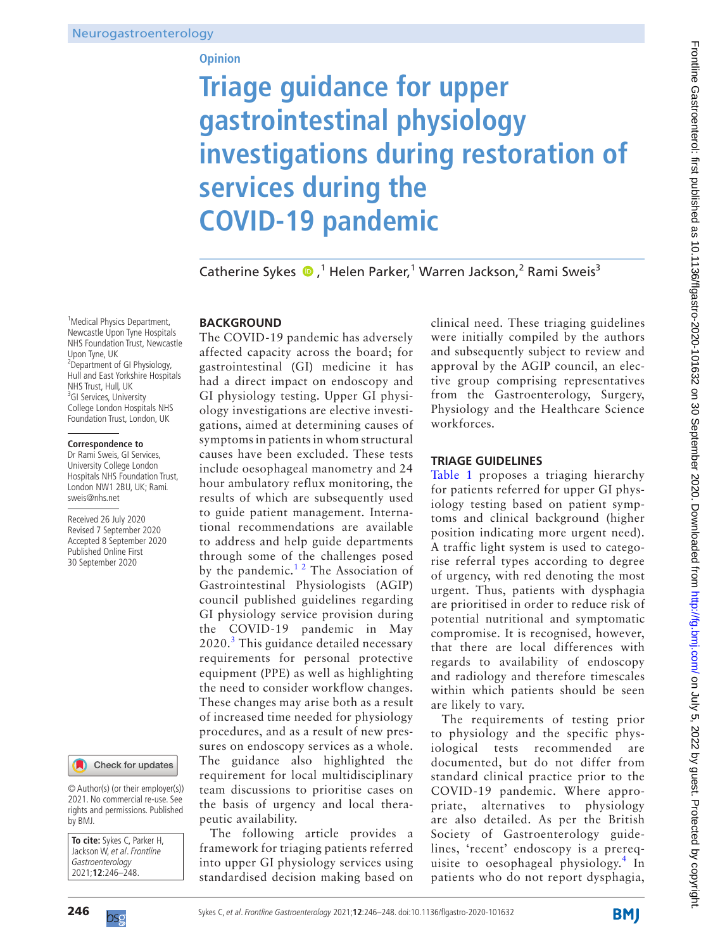# **Opinion**

# **Triage guidance for upper gastrointestinal physiology investigations during restoration of services during the COVID-19 pandemic**

CatherineSykes  $\bullet$ ,<sup>1</sup> Helen Parker,<sup>1</sup> Warren Jackson,<sup>2</sup> Rami Sweis<sup>3</sup>

<sup>1</sup>Medical Physics Department, Newcastle Upon Tyne Hospitals NHS Foundation Trust, Newcastle Upon Tyne, UK 2 Department of GI Physiology, Hull and East Yorkshire Hospitals NHS Trust, Hull, UK <sup>3</sup>GI Services, University College London Hospitals NHS Foundation Trust, London, UK

#### **Correspondence to**

Dr Rami Sweis, GI Services, University College London Hospitals NHS Foundation Trust, London NW1 2BU, UK; Rami. sweis@nhs.net

Received 26 July 2020 Revised 7 September 2020 Accepted 8 September 2020 Published Online First 30 September 2020



© Author(s) (or their employer(s)) 2021. No commercial re-use. See rights and permissions. Published by BMJ.

**To cite:** Sykes C, Parker H, Jackson W, et al. Frontline Gastroenterology 2021;**12**:246–248.

## **BACKGROUND**

The COVID-19 pandemic has adversely affected capacity across the board; for gastrointestinal (GI) medicine it has had a direct impact on endoscopy and GI physiology testing. Upper GI physiology investigations are elective investigations, aimed at determining causes of symptoms in patients in whom structural causes have been excluded. These tests include oesophageal manometry and 24 hour ambulatory reflux monitoring, the results of which are subsequently used to guide patient management. International recommendations are available to address and help guide departments through some of the challenges posed by the pandemic. $1<sup>2</sup>$  The Association of Gastrointestinal Physiologists (AGIP) council published guidelines regarding GI physiology service provision during the COVID-19 pandemic in May 2020.<sup>[3](#page-2-1)</sup> This guidance detailed necessary requirements for personal protective equipment (PPE) as well as highlighting the need to consider workflow changes. These changes may arise both as a result of increased time needed for physiology procedures, and as a result of new pressures on endoscopy services as a whole. The guidance also highlighted the requirement for local multidisciplinary team discussions to prioritise cases on the basis of urgency and local therapeutic availability.

The following article provides a framework for triaging patients referred into upper GI physiology services using standardised decision making based on clinical need. These triaging guidelines were initially compiled by the authors and subsequently subject to review and approval by the AGIP council, an elective group comprising representatives from the Gastroenterology, Surgery, Physiology and the Healthcare Science workforces.

## **TRIAGE GUIDELINES**

[Table](#page-1-0) 1 proposes a triaging hierarchy for patients referred for upper GI physiology testing based on patient symptoms and clinical background (higher position indicating more urgent need). A traffic light system is used to categorise referral types according to degree of urgency, with red denoting the most urgent. Thus, patients with dysphagia are prioritised in order to reduce risk of potential nutritional and symptomatic compromise. It is recognised, however, that there are local differences with regards to availability of endoscopy and radiology and therefore timescales within which patients should be seen are likely to vary.

The requirements of testing prior to physiology and the specific physiological tests recommended are documented, but do not differ from standard clinical practice prior to the COVID-19 pandemic. Where appropriate, alternatives to physiology are also detailed. As per the British Society of Gastroenterology guidelines, 'recent' endoscopy is a prereq-uisite to oesophageal physiology.<sup>[4](#page-2-2)</sup> In patients who do not report dysphagia,





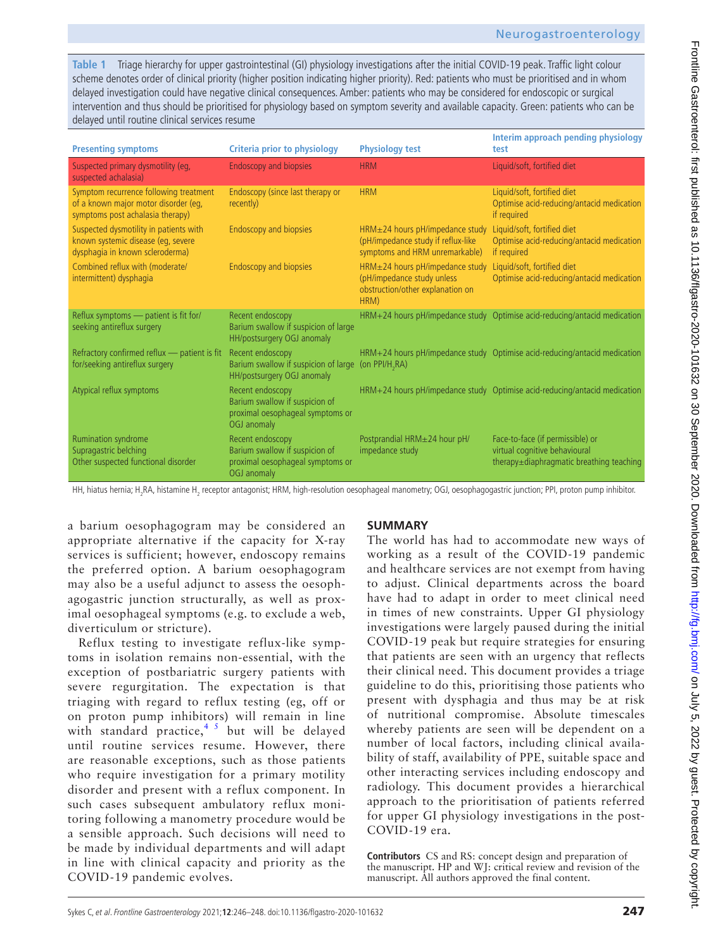<span id="page-1-0"></span>**Table 1** Triage hierarchy for upper gastrointestinal (GI) physiology investigations after the initial COVID-19 peak. Traffic light colour scheme denotes order of clinical priority (higher position indicating higher priority). Red: patients who must be prioritised and in whom delayed investigation could have negative clinical consequences. Amber: patients who may be considered for endoscopic or surgical intervention and thus should be prioritised for physiology based on symptom severity and available capacity. Green: patients who can be delayed until routine clinical services resume

| <b>Presenting symptoms</b>                                                                                         | <b>Criteria prior to physiology</b>                                                                   | <b>Physiology test</b>                                                                                    | Interim approach pending physiology<br>test                                                                   |
|--------------------------------------------------------------------------------------------------------------------|-------------------------------------------------------------------------------------------------------|-----------------------------------------------------------------------------------------------------------|---------------------------------------------------------------------------------------------------------------|
| Suspected primary dysmotility (eq.<br>suspected achalasia)                                                         | <b>Endoscopy and biopsies</b>                                                                         | <b>HRM</b>                                                                                                | Liquid/soft, fortified diet                                                                                   |
| Symptom recurrence following treatment<br>of a known major motor disorder (eg,<br>symptoms post achalasia therapy) | Endoscopy (since last therapy or<br>recently)                                                         | <b>HRM</b>                                                                                                | Liquid/soft, fortified diet<br>Optimise acid-reducing/antacid medication<br>if required                       |
| Suspected dysmotility in patients with<br>known systemic disease (eq, severe<br>dysphagia in known scleroderma)    | <b>Endoscopy and biopsies</b>                                                                         | HRM±24 hours pH/impedance study<br>(pH/impedance study if reflux-like<br>symptoms and HRM unremarkable)   | Liquid/soft, fortified diet<br>Optimise acid-reducing/antacid medication<br>if required                       |
| Combined reflux with (moderate/<br>intermittent) dysphagia                                                         | <b>Endoscopy and biopsies</b>                                                                         | HRM±24 hours pH/impedance study<br>(pH/impedance study unless<br>obstruction/other explanation on<br>HRM) | Liquid/soft, fortified diet<br>Optimise acid-reducing/antacid medication                                      |
| Reflux symptoms - patient is fit for/<br>seeking antireflux surgery                                                | Recent endoscopy<br>Barium swallow if suspicion of large<br>HH/postsurgery OGJ anomaly                |                                                                                                           | HRM+24 hours pH/impedance study Optimise acid-reducing/antacid medication                                     |
| Refractory confirmed reflux - patient is fit<br>for/seeking antireflux surgery                                     | Recent endoscopy<br>Barium swallow if suspicion of large<br>HH/postsurgery OGJ anomaly                | (on $PPI/H, RA$ )                                                                                         | HRM+24 hours pH/impedance study Optimise acid-reducing/antacid medication                                     |
| Atypical reflux symptoms                                                                                           | Recent endoscopy<br>Barium swallow if suspicion of<br>proximal oesophageal symptoms or<br>OGJ anomaly |                                                                                                           | HRM+24 hours pH/impedance study Optimise acid-reducing/antacid medication                                     |
| <b>Rumination syndrome</b><br>Supragastric belching<br>Other suspected functional disorder                         | Recent endoscopy<br>Barium swallow if suspicion of<br>proximal oesophageal symptoms or<br>OGJ anomaly | Postprandial HRM±24 hour pH/<br>impedance study                                                           | Face-to-face (if permissible) or<br>virtual cognitive behavioural<br>therapy±diaphragmatic breathing teaching |

HH, hiatus hernia; H<sub>2</sub>RA, histamine H<sub>2</sub> receptor antagonist; HRM, high-resolution oesophageal manometry; OGJ, oesophagogastric junction; PPI, proton pump inhibitor.

a barium oesophagogram may be considered an appropriate alternative if the capacity for X-ray services is sufficient; however, endoscopy remains the preferred option. A barium oesophagogram may also be a useful adjunct to assess the oesophagogastric junction structurally, as well as proximal oesophageal symptoms (e.g. to exclude a web, diverticulum or stricture).

Reflux testing to investigate reflux-like symptoms in isolation remains non-essential, with the exception of postbariatric surgery patients with severe regurgitation. The expectation is that triaging with regard to reflux testing (eg, off or on proton pump inhibitors) will remain in line with standard practice,  $45$  but will be delayed until routine services resume. However, there are reasonable exceptions, such as those patients who require investigation for a primary motility disorder and present with a reflux component. In such cases subsequent ambulatory reflux monitoring following a manometry procedure would be a sensible approach. Such decisions will need to be made by individual departments and will adapt in line with clinical capacity and priority as the COVID-19 pandemic evolves.

# **SUMMARY**

The world has had to accommodate new ways of working as a result of the COVID-19 pandemic and healthcare services are not exempt from having to adjust. Clinical departments across the board have had to adapt in order to meet clinical need in times of new constraints. Upper GI physiology investigations were largely paused during the initial COVID-19 peak but require strategies for ensuring that patients are seen with an urgency that reflects their clinical need. This document provides a triage guideline to do this, prioritising those patients who present with dysphagia and thus may be at risk of nutritional compromise. Absolute timescales whereby patients are seen will be dependent on a number of local factors, including clinical availability of staff, availability of PPE, suitable space and other interacting services including endoscopy and radiology. This document provides a hierarchical approach to the prioritisation of patients referred for upper GI physiology investigations in the post-COVID-19 era.

**Contributors** CS and RS: concept design and preparation of the manuscript. HP and WJ: critical review and revision of the manuscript. All authors approved the final content.